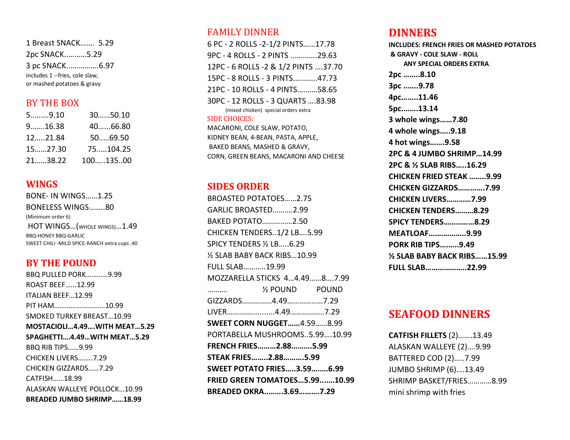1 Breast SNACK……. 5.29 2pc SNACK..………5.29 3 pc SNACK..….……….6.97 includes 1 --fries, cole slaw, or mashed potatoes & gravy

#### **BY THE BOX**

| 5………9.10   | 3050.10  |
|------------|----------|
| 916.38     | 4066.80  |
| 1221.84    | 5069.50  |
| $15$ 27.30 | 75104.25 |
| 2138.22    | 10013500 |

#### **WINGS**

BONE- IN WINGS……1.25 BONELESS WINGS……..80 (Minimum order 6) HOT WINGS…(WHOLE WINGS)…1.49 BBQ-HONEY BBQ-GARLIC SWEET CHILI -MILD SPICE-RANCH extra cups .40

#### **BY THE POUND**

BBQ PULLED PORK…………9.99 ROAST BEEF…...12.99 ITALIAN BEEF…12.99 PIT HAM……………………….10.99 SMOKED TURKEY BREAST…10.99 **MOSTACIOLI…4.49….WITH MEAT…5.29 SPAGHETTI….4.49…WITH MEAT…5.29** BBQ RIB TIPS……9.99 CHICKEN LIVERS……..7.29 CHICKEN GIZZARDS……7.29 CATFISH……18.99 ALASKAN WALLEYE POLLOCK…10.99 **BREADED JUMBO SHRIMP……18.99**

#### FAMILY DINNER

6 PC - 2 ROLLS -2-1/2 PINTS……17.78 9PC - 4 ROLLS - 2 PINTS ..………..29.63 12PC - 6 ROLLS -2 & 1/2 PINTS .…37.70 15PC - 8 ROLLS - 3 PINTS.………..47.73 21PC - 10 ROLLS - 4 PINTS….……58.65 30PC - 12 ROLLS - 3 QUARTS ….83.98 (mixed chicken) special orders extra SIDE CHOICES: MACARONI, COLE SLAW, POTATO, KIDNEY BEAN, 4-BEAN, PASTA, APPLE, BAKED BEANS, MASHED & GRAVY, CORN, GREEN BEANS, MACARONI AND CHEESE

#### **SIDES ORDER**

BROASTED POTATOES……2.75 GARLIC BROASTED……….2.99 BAKED POTATO……………2.50 CHICKEN TENDERS..1/2 LB….5.99 SPICY TENDERS ½ LB…..6.29 ½ SLAB BABY BACK RIBS…10.99 FULL SLAB………..19.99 MOZZARELLA STICKS 4…4.49……8….7.99 ………. ½ POUND POUND GIZZARDS……………4.49………………7.29 LIVER…………...........4.49……………..7.29 **SWEET CORN NUGGET……**4.59……8.99 PORTABELLA MUSHROOMS..5.99….10.99 **FRENCH FRIES………2.88……….5.99 STEAK FRIES……..2.88……….5.99 SWEET POTATO FRIES…..3.59….….6.99 FRIED GREEN TOMATOES…5.99....…10.99 BREADED OKRA..…….3.69……….7.29**

## **DINNERS**

**INCLUDES: FRENCH FRIES OR MASHED POTATOES & GRAVY - COLE SLAW - ROLL ANY SPECIAL ORDERS EXTRA 2pc ……..8.10 3pc ..…..9.78 4pc……..11.46 5pc.…….13.14 3 whole wings……7.80 4 whole wings…..9.18 4 hot wings…….9.58 2PC & 4 JUMBO SHRIMP…14.99 2PC & ½ SLAB RIBS…..16.29 CHICKEN FRIED STEAK ……..9.99 CHICKEN GIZZARDS………….7.99 CHICKEN LIVERS…………7.99 CHICKEN TENDERS………8.29 SPICY TENDERS……………8.29 MEATLOAF….…………..9.99 PORK RIB TIPS….…..9.49 ½ SLAB BABY BACK RIBS……15.99 FULL SLAB………………..22.99**

# **SEAFOOD DINNERS**

**CATFISH FILLETS** (2)…….13.49 ALASKAN WALLEYE (2)….9.99 BATTERED COD (2)…..7.99 JUMBO SHRIMP (6)….13.49 SHRIMP BASKET/FRIES…………8.99 mini shrimp with fries